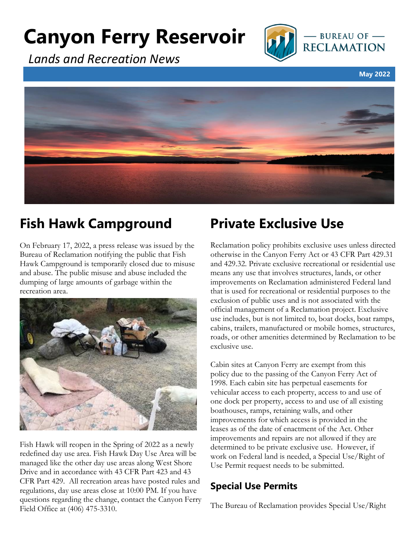# **Canyon Ferry Reservoir**



*Lands and Recreation News*

**May 2022**



### **Fish Hawk Campground**

On February 17, 2022, a press release was issued by the Bureau of Reclamation notifying the public that Fish Hawk Campground is temporarily closed due to misuse and abuse. The public misuse and abuse included the dumping of large amounts of garbage within the recreation area.



Fish Hawk will reopen in the Spring of 2022 as a newly redefined day use area. Fish Hawk Day Use Area will be managed like the other day use areas along West Shore Drive and in accordance with 43 CFR Part 423 and 43 CFR Part 429. All recreation areas have posted rules and regulations, day use areas close at 10:00 PM. If you have questions regarding the change, contact the Canyon Ferry Field Office at (406) 475-3310.

# **Private Exclusive Use**

Reclamation policy prohibits exclusive uses unless directed otherwise in the Canyon Ferry Act or 43 CFR Part 429.31 and 429.32. Private exclusive recreational or residential use means any use that involves structures, lands, or other improvements on Reclamation administered Federal land that is used for recreational or residential purposes to the exclusion of public uses and is not associated with the official management of a Reclamation project. Exclusive use includes, but is not limited to, boat docks, boat ramps, cabins, trailers, manufactured or mobile homes, structures, roads, or other amenities determined by Reclamation to be exclusive use.

Cabin sites at Canyon Ferry are exempt from this policy due to the passing of the Canyon Ferry Act of 1998. Each cabin site has perpetual easements for vehicular access to each property, access to and use of one dock per property, access to and use of all existing boathouses, ramps, retaining walls, and other improvements for which access is provided in the leases as of the date of enactment of the Act. Other improvements and repairs are not allowed if they are determined to be private exclusive use. However, if work on Federal land is needed, a Special Use/Right of Use Permit request needs to be submitted.

### **Special Use Permits**

The Bureau of Reclamation provides Special Use/Right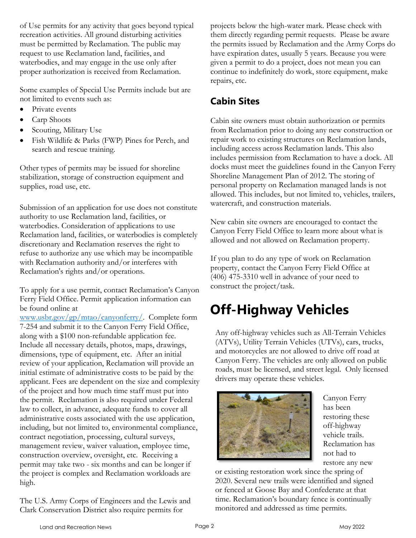of Use permits for any activity that goes beyond typical recreation activities. All ground disturbing activities must be permitted by Reclamation. The public may request to use Reclamation land, facilities, and waterbodies, and may engage in the use only after proper authorization is received from Reclamation.

Some examples of Special Use Permits include but are not limited to events such as:

- Private events
- Carp Shoots
- Scouting, Military Use
- Fish Wildlife & Parks (FWP) Pines for Perch, and search and rescue training.

Other types of permits may be issued for shoreline stabilization, storage of construction equipment and supplies, road use, etc.

Submission of an application for use does not constitute authority to use Reclamation land, facilities, or waterbodies. Consideration of applications to use Reclamation land, facilities, or waterbodies is completely discretionary and Reclamation reserves the right to refuse to authorize any use which may be incompatible with Reclamation authority and/or interferes with Reclamation's rights and/or operations.

To apply for a use permit, contact Reclamation's Canyon Ferry Field Office. Permit application information can be found online at

[www.usbr.gov/gp/mtao/canyonferry/.](http://www.usbr.gov/gp/mtao/canyonferry/) Complete form 7-254 and submit it to the Canyon Ferry Field Office, along with a \$100 non-refundable application fee. Include all necessary details, photos, maps, drawings, dimensions, type of equipment, etc. After an initial review of your application, Reclamation will provide an initial estimate of administrative costs to be paid by the applicant. Fees are dependent on the size and complexity of the project and how much time staff must put into the permit. Reclamation is also required under Federal law to collect, in advance, adequate funds to cover all administrative costs associated with the use application, including, but not limited to, environmental compliance, contract negotiation, processing, cultural surveys, management review, waiver valuation, employee time, construction overview, oversight, etc. Receiving a permit may take two - six months and can be longer if the project is complex and Reclamation workloads are high.

The U.S. Army Corps of Engineers and the Lewis and Clark Conservation District also require permits for

projects below the high-water mark. Please check with them directly regarding permit requests. Please be aware the permits issued by Reclamation and the Army Corps do have expiration dates, usually 5 years. Because you were given a permit to do a project, does not mean you can continue to indefinitely do work, store equipment, make repairs, etc.

### **Cabin Sites**

Cabin site owners must obtain authorization or permits from Reclamation prior to doing any new construction or repair work to existing structures on Reclamation lands, including access across Reclamation lands. This also includes permission from Reclamation to have a dock. All docks must meet the guidelines found in the Canyon Ferry Shoreline Management Plan of 2012. The storing of personal property on Reclamation managed lands is not allowed. This includes, but not limited to, vehicles, trailers, watercraft, and construction materials.

New cabin site owners are encouraged to contact the Canyon Ferry Field Office to learn more about what is allowed and not allowed on Reclamation property.

If you plan to do any type of work on Reclamation property, contact the Canyon Ferry Field Office at (406) 475-3310 well in advance of your need to construct the project/task.

## **Off-Highway Vehicles**

Any off-highway vehicles such as All-Terrain Vehicles (ATVs), Utility Terrain Vehicles (UTVs), cars, trucks, and motorcycles are not allowed to drive off road at Canyon Ferry. The vehicles are only allowed on public roads, must be licensed, and street legal. Only licensed drivers may operate these vehicles.



Canyon Ferry has been restoring these off-highway vehicle trails. Reclamation has not had to restore any new

or existing restoration work since the spring of 2020. Several new trails were identified and signed or fenced at Goose Bay and Confederate at that time. Reclamation's boundary fence is continually monitored and addressed as time permits.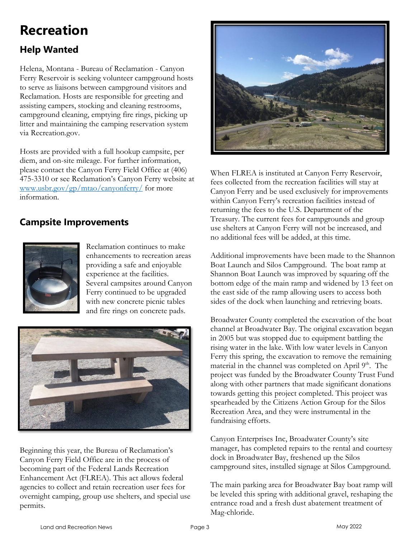### **Recreation**

### **Help Wanted**

Helena, Montana - Bureau of Reclamation - Canyon Ferry Reservoir is seeking volunteer campground hosts to serve as liaisons between campground visitors and Reclamation. Hosts are responsible for greeting and assisting campers, stocking and cleaning restrooms, campground cleaning, emptying fire rings, picking up litter and maintaining the camping reservation system via Recreation.gov.

Hosts are provided with a full hookup campsite, per diem, and on-site mileage. For further information, please contact the Canyon Ferry Field Office at (406) 475-3310 or see Reclamation's Canyon Ferry website at [www.usbr.gov/gp/mtao/canyonferry/](http://www.usbr.gov/gp/mtao/canyonferry/) for more information.

#### **Campsite Improvements**



Reclamation continues to make enhancements to recreation areas providing a safe and enjoyable experience at the facilities. Several campsites around Canyon Ferry continued to be upgraded with new concrete picnic tables and fire rings on concrete pads.



Beginning this year, the Bureau of Reclamation's Canyon Ferry Field Office are in the process of becoming part of the Federal Lands Recreation Enhancement Act (FLREA). This act allows federal agencies to collect and retain recreation user fees for overnight camping, group use shelters, and special use permits.



When FLREA is instituted at Canyon Ferry Reservoir, fees collected from the recreation facilities will stay at Canyon Ferry and be used exclusively for improvements within Canyon Ferry's recreation facilities instead of returning the fees to the U.S. Department of the Treasury. The current fees for campgrounds and group use shelters at Canyon Ferry will not be increased, and no additional fees will be added, at this time.

Additional improvements have been made to the Shannon Boat Launch and Silos Campground. The boat ramp at Shannon Boat Launch was improved by squaring off the bottom edge of the main ramp and widened by 13 feet on the east side of the ramp allowing users to access both sides of the dock when launching and retrieving boats.

Broadwater County completed the excavation of the boat channel at Broadwater Bay. The original excavation began in 2005 but was stopped due to equipment battling the rising water in the lake. With low water levels in Canyon Ferry this spring, the excavation to remove the remaining material in the channel was completed on April 9<sup>th</sup>. The project was funded by the Broadwater County Trust Fund along with other partners that made significant donations towards getting this project completed. This project was spearheaded by the Citizens Action Group for the Silos Recreation Area, and they were instrumental in the fundraising efforts.

Canyon Enterprises Inc, Broadwater County's site manager, has completed repairs to the rental and courtesy dock in Broadwater Bay, freshened up the Silos campground sites, installed signage at Silos Campground.

The main parking area for Broadwater Bay boat ramp will be leveled this spring with additional gravel, reshaping the entrance road and a fresh dust abatement treatment of Mag-chloride.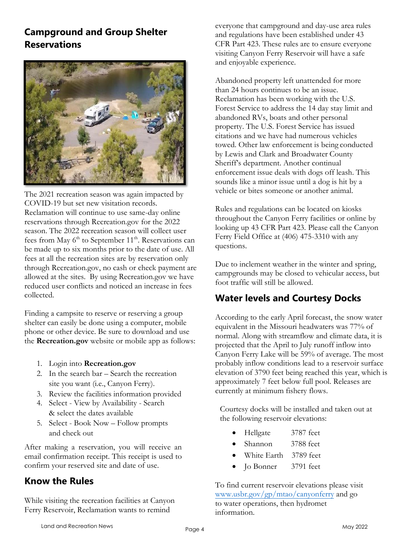#### **Campground and Group Shelter Reservations**



The 2021 recreation season was again impacted by COVID-19 but set new visitation records. Reclamation will continue to use same-day online reservations through Recreation.gov for the 2022 season. The 2022 recreation season will collect user fees from May 6<sup>th</sup> to September 11<sup>th</sup>. Reservations can be made up to six months prior to the date of use. All fees at all the recreation sites are by reservation only through Recreation.gov, no cash or check payment are allowed at the sites. By using Recreation.gov we have reduced user conflicts and noticed an increase in fees collected.

Finding a campsite to reserve or reserving a group shelter can easily be done using a computer, mobile phone or other device. Be sure to download and use the **Recreation.gov** website or mobile app as follows:

- 1. Login into **Recreation.gov**
- 2. In the search bar Search the recreation site you want (i.e., Canyon Ferry).
- 3. Review the facilities information provided
- 4. Select View by Availability Search & select the dates available
- 5. Select Book Now Follow prompts and check out

After making a reservation, you will receive an email confirmation receipt. This receipt is used to confirm your reserved site and date of use.

#### **Know the Rules**

While visiting the recreation facilities at Canyon Ferry Reservoir, Reclamation wants to remind

everyone that campground and day-use area rules and regulations have been established under 43 CFR Part 423. These rules are to ensure everyone visiting Canyon Ferry Reservoir will have a safe and enjoyable experience.

Abandoned property left unattended for more than 24 hours continues to be an issue. Reclamation has been working with the U.S. Forest Service to address the 14 day stay limit and abandoned RVs, boats and other personal property. The U.S. Forest Service has issued citations and we have had numerous vehicles towed. Other law enforcement is being conducted by Lewis and Clark and Broadwater County Sheriff's department. Another continual enforcement issue deals with dogs off leash. This sounds like a minor issue until a dog is hit by a vehicle or bites someone or another animal.

Rules and regulations can be located on kiosks throughout the Canyon Ferry facilities or online by looking up 43 CFR Part 423. Please call the Canyon Ferry Field Office at (406) 475-3310 with any questions.

Due to inclement weather in the winter and spring, campgrounds may be closed to vehicular access, but foot traffic will still be allowed.

#### **Water levels and Courtesy Docks**

According to the early April forecast, the snow water equivalent in the Missouri headwaters was 77% of normal. Along with streamflow and climate data, it is projected that the April to July runoff inflow into Canyon Ferry Lake will be 59% of average. The most probably inflow conditions lead to a reservoir surface elevation of 3790 feet being reached this year, which is approximately 7 feet below full pool. Releases are currently at minimum fishery flows.

Courtesy docks will be installed and taken out at the following reservoir elevations:

- Hellgate 3787 feet
- Shannon 3788 feet
- White Earth 3789 feet
- Jo Bonner 3791 feet

To find current reservoir elevations please visit [www.usbr.gov/gp/mtao/canyonferry](https://www.usbr.gov/gp/mtao/canyonferry) and go to water operations, then hydromet information.